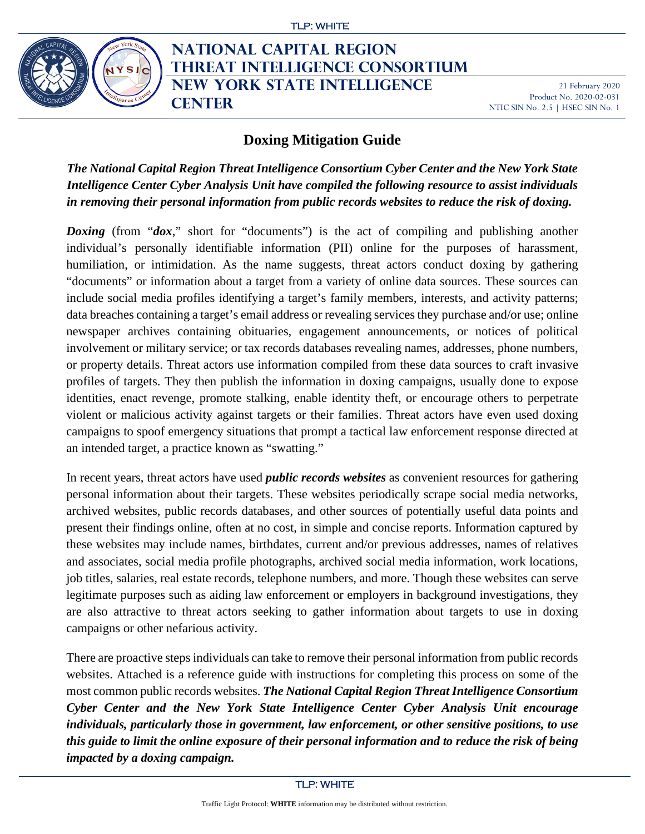

# **NATIONAL CAPITAL REGION THREAT INTELLIGENCE CONSORTIUM New York State Intelligence Center**

21 February 2020 Product No. 2020-02-031 NTIC SIN No. 2.5 | HSEC SIN No. 1

# **Doxing Mitigation Guide**

*The National Capital Region Threat Intelligence Consortium Cyber Center and the New York State Intelligence Center Cyber Analysis Unit have compiled the following resource to assist individuals in removing their personal information from public records websites to reduce the risk of doxing.*

*Doxing* (from "*dox*," short for "documents") is the act of compiling and publishing another individual's personally identifiable information (PII) online for the purposes of harassment, humiliation, or intimidation. As the name suggests, threat actors conduct doxing by gathering "documents" or information about a target from a variety of online data sources. These sources can include social media profiles identifying a target's family members, interests, and activity patterns; data breaches containing a target's email address or revealing services they purchase and/or use; online newspaper archives containing obituaries, engagement announcements, or notices of political involvement or military service; or tax records databases revealing names, addresses, phone numbers, or property details. Threat actors use information compiled from these data sources to craft invasive profiles of targets. They then publish the information in doxing campaigns, usually done to expose identities, enact revenge, promote stalking, enable identity theft, or encourage others to perpetrate violent or malicious activity against targets or their families. Threat actors have even used doxing campaigns to spoof emergency situations that prompt a tactical law enforcement response directed at an intended target, a practice known as "swatting."

In recent years, threat actors have used *public records websites* as convenient resources for gathering personal information about their targets. These websites periodically scrape social media networks, archived websites, public records databases, and other sources of potentially useful data points and present their findings online, often at no cost, in simple and concise reports. Information captured by these websites may include names, birthdates, current and/or previous addresses, names of relatives and associates, social media profile photographs, archived social media information, work locations, job titles, salaries, real estate records, telephone numbers, and more. Though these websites can serve legitimate purposes such as aiding law enforcement or employers in background investigations, they are also attractive to threat actors seeking to gather information about targets to use in doxing campaigns or other nefarious activity.

There are proactive steps individuals can take to remove their personal information from public records websites. Attached is a reference guide with instructions for completing this process on some of the most common public records websites. *The National Capital Region Threat Intelligence Consortium Cyber Center and the New York State Intelligence Center Cyber Analysis Unit encourage individuals, particularly those in government, law enforcement, or other sensitive positions, to use this guide to limit the online exposure of their personal information and to reduce the risk of being impacted by a doxing campaign.*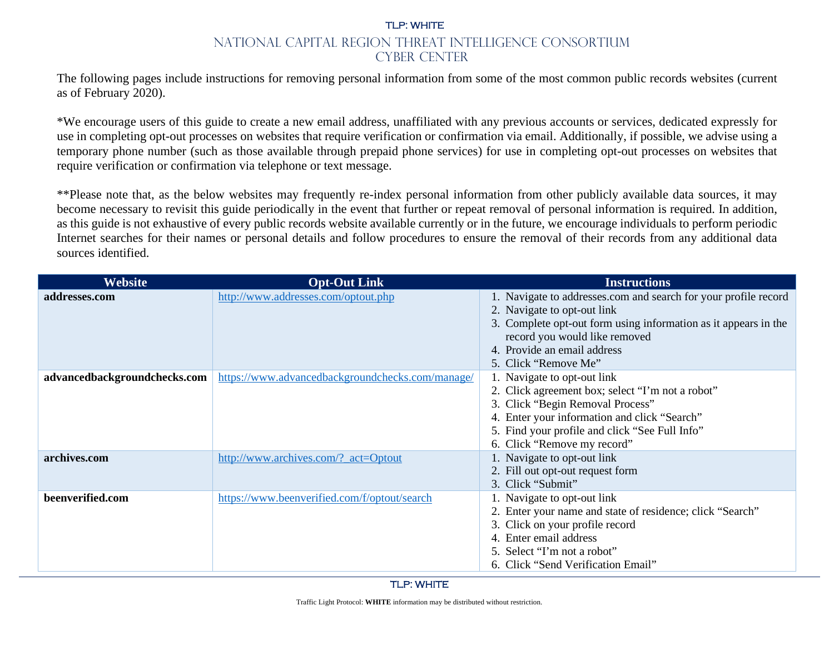The following pages include instructions for removing personal information from some of the most common public records websites (current as of February 2020).

\*We encourage users of this guide to create a new email address, unaffiliated with any previous accounts or services, dedicated expressly for use in completing opt-out processes on websites that require verification or confirmation via email. Additionally, if possible, we advise using a temporary phone number (such as those available through prepaid phone services) for use in completing opt-out processes on websites that require verification or confirmation via telephone or text message.

\*\*Please note that, as the below websites may frequently re-index personal information from other publicly available data sources, it may become necessary to revisit this guide periodically in the event that further or repeat removal of personal information is required. In addition, as this guide is not exhaustive of every public records website available currently or in the future, we encourage individuals to perform periodic Internet searches for their names or personal details and follow procedures to ensure the removal of their records from any additional data sources identified.

| <b>Website</b>               | <b>Opt-Out Link</b>                              | <b>Instructions</b>                                             |
|------------------------------|--------------------------------------------------|-----------------------------------------------------------------|
| addresses.com                | http://www.addresses.com/optout.php              | 1. Navigate to addresses.com and search for your profile record |
|                              |                                                  | 2. Navigate to opt-out link                                     |
|                              |                                                  | 3. Complete opt-out form using information as it appears in the |
|                              |                                                  | record you would like removed                                   |
|                              |                                                  | 4. Provide an email address                                     |
|                              |                                                  | 5. Click "Remove Me"                                            |
| advancedbackgroundchecks.com | https://www.advancedbackgroundchecks.com/manage/ | 1. Navigate to opt-out link                                     |
|                              |                                                  | 2. Click agreement box; select "I'm not a robot"                |
|                              |                                                  | 3. Click "Begin Removal Process"                                |
|                              |                                                  | 4. Enter your information and click "Search"                    |
|                              |                                                  | 5. Find your profile and click "See Full Info"                  |
|                              |                                                  | 6. Click "Remove my record"                                     |
| archives.com                 | http://www.archives.com/? act=Optout             | 1. Navigate to opt-out link                                     |
|                              |                                                  | 2. Fill out opt-out request form                                |
|                              |                                                  | 3. Click "Submit"                                               |
| beenverified.com             | https://www.beenverified.com/f/optout/search     | 1. Navigate to opt-out link                                     |
|                              |                                                  | 2. Enter your name and state of residence; click "Search"       |
|                              |                                                  | 3. Click on your profile record                                 |
|                              |                                                  | 4. Enter email address                                          |
|                              |                                                  | 5. Select "I'm not a robot"                                     |
|                              |                                                  | 6. Click "Send Verification Email"                              |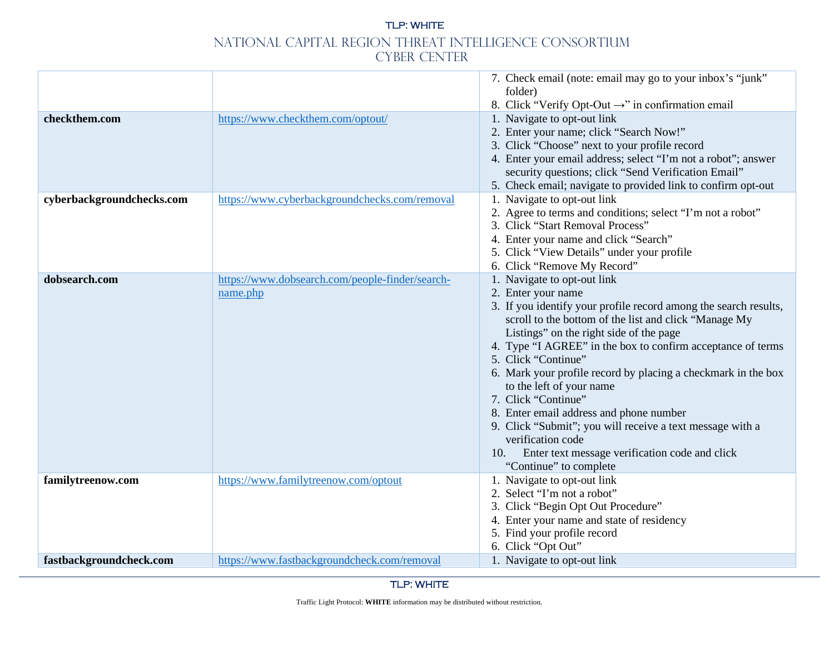|                                            |                                                                                    | 7. Check email (note: email may go to your inbox's "junk"<br>folder)                                                                                                                                                                                                                                                                                                                                                                                                                                                                                                                                                                                |
|--------------------------------------------|------------------------------------------------------------------------------------|-----------------------------------------------------------------------------------------------------------------------------------------------------------------------------------------------------------------------------------------------------------------------------------------------------------------------------------------------------------------------------------------------------------------------------------------------------------------------------------------------------------------------------------------------------------------------------------------------------------------------------------------------------|
|                                            |                                                                                    | 8. Click "Verify Opt-Out $\rightarrow$ " in confirmation email                                                                                                                                                                                                                                                                                                                                                                                                                                                                                                                                                                                      |
| checkthem.com<br>cyberbackgroundchecks.com | https://www.checkthem.com/optout/<br>https://www.cyberbackgroundchecks.com/removal | 1. Navigate to opt-out link<br>2. Enter your name; click "Search Now!"<br>3. Click "Choose" next to your profile record<br>4. Enter your email address; select "I'm not a robot"; answer<br>security questions; click "Send Verification Email"<br>5. Check email; navigate to provided link to confirm opt-out<br>1. Navigate to opt-out link<br>2. Agree to terms and conditions; select "I'm not a robot"                                                                                                                                                                                                                                        |
|                                            |                                                                                    | 3. Click "Start Removal Process"<br>4. Enter your name and click "Search"<br>5. Click "View Details" under your profile<br>6. Click "Remove My Record"                                                                                                                                                                                                                                                                                                                                                                                                                                                                                              |
| dobsearch.com                              | https://www.dobsearch.com/people-finder/search-<br>name.php                        | 1. Navigate to opt-out link<br>2. Enter your name<br>3. If you identify your profile record among the search results,<br>scroll to the bottom of the list and click "Manage My<br>Listings" on the right side of the page<br>4. Type "I AGREE" in the box to confirm acceptance of terms<br>5. Click "Continue"<br>6. Mark your profile record by placing a checkmark in the box<br>to the left of your name<br>7. Click "Continue"<br>8. Enter email address and phone number<br>9. Click "Submit"; you will receive a text message with a<br>verification code<br>Enter text message verification code and click<br>10.<br>"Continue" to complete |
| familytreenow.com                          | https://www.familytreenow.com/optout                                               | 1. Navigate to opt-out link<br>2. Select "I'm not a robot"<br>3. Click "Begin Opt Out Procedure"<br>4. Enter your name and state of residency<br>5. Find your profile record<br>6. Click "Opt Out"                                                                                                                                                                                                                                                                                                                                                                                                                                                  |
| fastbackgroundcheck.com                    | https://www.fastbackgroundcheck.com/removal                                        | 1. Navigate to opt-out link                                                                                                                                                                                                                                                                                                                                                                                                                                                                                                                                                                                                                         |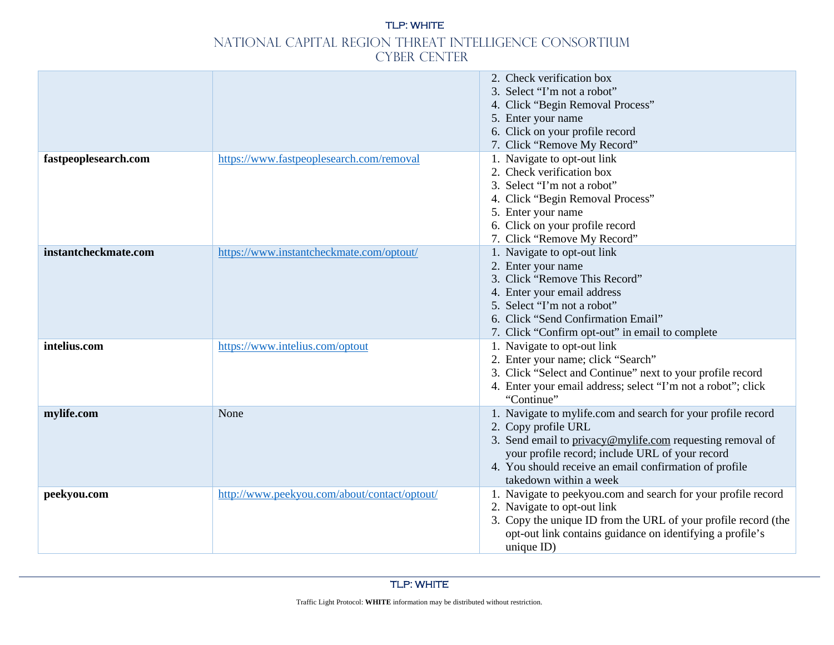|                      |                                              | 2. Check verification box<br>3. Select "I'm not a robot"<br>4. Click "Begin Removal Process"<br>5. Enter your name<br>6. Click on your profile record<br>7. Click "Remove My Record"                                                                                                    |
|----------------------|----------------------------------------------|-----------------------------------------------------------------------------------------------------------------------------------------------------------------------------------------------------------------------------------------------------------------------------------------|
| fastpeoplesearch.com | https://www.fastpeoplesearch.com/removal     | 1. Navigate to opt-out link<br>2. Check verification box<br>3. Select "I'm not a robot"<br>4. Click "Begin Removal Process"<br>5. Enter your name<br>6. Click on your profile record<br>7. Click "Remove My Record"                                                                     |
| instantcheckmate.com | https://www.instantcheckmate.com/optout/     | 1. Navigate to opt-out link<br>2. Enter your name<br>3. Click "Remove This Record"<br>4. Enter your email address<br>5. Select "I'm not a robot"<br>6. Click "Send Confirmation Email"<br>7. Click "Confirm opt-out" in email to complete                                               |
| intelius.com         | https://www.intelius.com/optout              | 1. Navigate to opt-out link<br>2. Enter your name; click "Search"<br>3. Click "Select and Continue" next to your profile record<br>4. Enter your email address; select "I'm not a robot"; click<br>"Continue"                                                                           |
| mylife.com           | None                                         | 1. Navigate to mylife.com and search for your profile record<br>2. Copy profile URL<br>3. Send email to privacy@mylife.com requesting removal of<br>your profile record; include URL of your record<br>4. You should receive an email confirmation of profile<br>takedown within a week |
| peekyou.com          | http://www.peekyou.com/about/contact/optout/ | 1. Navigate to peekyou.com and search for your profile record<br>2. Navigate to opt-out link<br>3. Copy the unique ID from the URL of your profile record (the<br>opt-out link contains guidance on identifying a profile's<br>unique ID)                                               |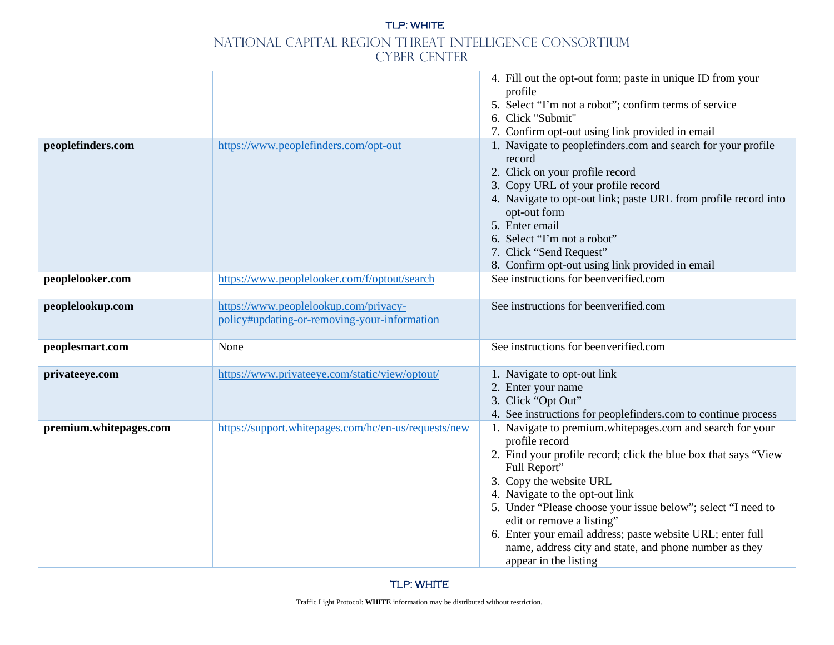|                        |                                                                                       | 4. Fill out the opt-out form; paste in unique ID from your<br>profile<br>5. Select "I'm not a robot"; confirm terms of service<br>6. Click "Submit"<br>7. Confirm opt-out using link provided in email                                                                                                                                                                                                                                                                     |
|------------------------|---------------------------------------------------------------------------------------|----------------------------------------------------------------------------------------------------------------------------------------------------------------------------------------------------------------------------------------------------------------------------------------------------------------------------------------------------------------------------------------------------------------------------------------------------------------------------|
| peoplefinders.com      | https://www.peoplefinders.com/opt-out                                                 | 1. Navigate to peoplefinders.com and search for your profile<br>record<br>2. Click on your profile record<br>3. Copy URL of your profile record<br>4. Navigate to opt-out link; paste URL from profile record into<br>opt-out form<br>5. Enter email<br>6. Select "I'm not a robot"<br>7. Click "Send Request"<br>8. Confirm opt-out using link provided in email                                                                                                          |
| peoplelooker.com       | https://www.peoplelooker.com/f/optout/search                                          | See instructions for beenverified.com                                                                                                                                                                                                                                                                                                                                                                                                                                      |
| peoplelookup.com       | https://www.peoplelookup.com/privacy-<br>policy#updating-or-removing-your-information | See instructions for beenverified.com                                                                                                                                                                                                                                                                                                                                                                                                                                      |
| peoplesmart.com        | None                                                                                  | See instructions for beenverified.com                                                                                                                                                                                                                                                                                                                                                                                                                                      |
| privateeye.com         | https://www.privateeye.com/static/view/optout/                                        | 1. Navigate to opt-out link<br>2. Enter your name<br>3. Click "Opt Out"<br>4. See instructions for peoplefinders.com to continue process                                                                                                                                                                                                                                                                                                                                   |
| premium.whitepages.com | https://support.whitepages.com/hc/en-us/requests/new                                  | 1. Navigate to premium.whitepages.com and search for your<br>profile record<br>2. Find your profile record; click the blue box that says "View<br>Full Report"<br>3. Copy the website URL<br>4. Navigate to the opt-out link<br>5. Under "Please choose your issue below"; select "I need to<br>edit or remove a listing"<br>6. Enter your email address; paste website URL; enter full<br>name, address city and state, and phone number as they<br>appear in the listing |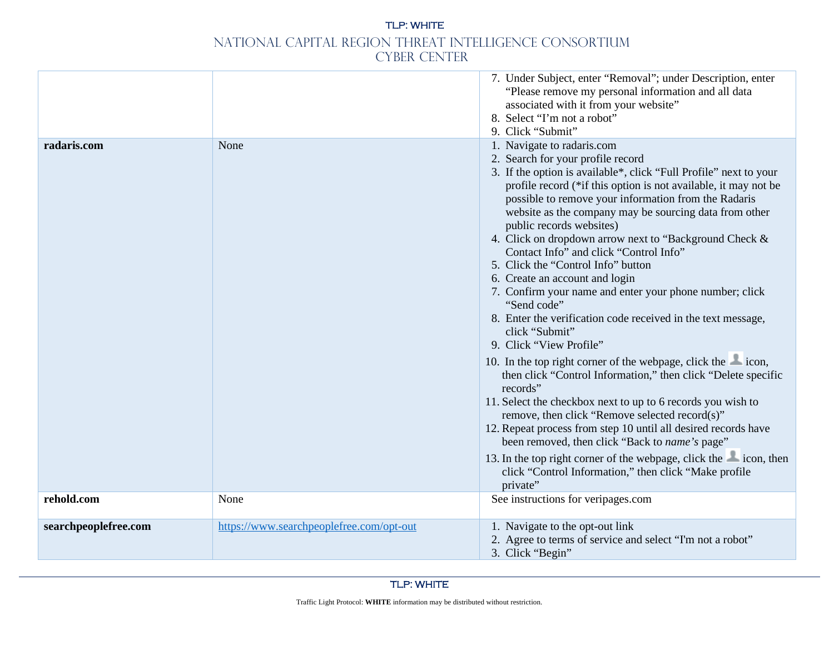|                      |                                          | 7. Under Subject, enter "Removal"; under Description, enter<br>"Please remove my personal information and all data<br>associated with it from your website"<br>8. Select "I'm not a robot"<br>9. Click "Submit"                                                                                                                                                                                                                                                                                                                                                                                                                                                                                                                                                                                                                                                                                                                                                                                                                                                                                                                                                                                                                                  |
|----------------------|------------------------------------------|--------------------------------------------------------------------------------------------------------------------------------------------------------------------------------------------------------------------------------------------------------------------------------------------------------------------------------------------------------------------------------------------------------------------------------------------------------------------------------------------------------------------------------------------------------------------------------------------------------------------------------------------------------------------------------------------------------------------------------------------------------------------------------------------------------------------------------------------------------------------------------------------------------------------------------------------------------------------------------------------------------------------------------------------------------------------------------------------------------------------------------------------------------------------------------------------------------------------------------------------------|
| radaris.com          | None                                     | 1. Navigate to radaris.com<br>2. Search for your profile record<br>3. If the option is available*, click "Full Profile" next to your<br>profile record (*if this option is not available, it may not be<br>possible to remove your information from the Radaris<br>website as the company may be sourcing data from other<br>public records websites)<br>4. Click on dropdown arrow next to "Background Check &<br>Contact Info" and click "Control Info"<br>5. Click the "Control Info" button<br>6. Create an account and login<br>7. Confirm your name and enter your phone number; click<br>"Send code"<br>8. Enter the verification code received in the text message,<br>click "Submit"<br>9. Click "View Profile"<br>10. In the top right corner of the webpage, click the con,<br>then click "Control Information," then click "Delete specific<br>records"<br>11. Select the checkbox next to up to 6 records you wish to<br>remove, then click "Remove selected record(s)"<br>12. Repeat process from step 10 until all desired records have<br>been removed, then click "Back to name's page"<br>13. In the top right corner of the webpage, click the con, then<br>click "Control Information," then click "Make profile<br>private" |
| rehold.com           | None                                     | See instructions for veripages.com                                                                                                                                                                                                                                                                                                                                                                                                                                                                                                                                                                                                                                                                                                                                                                                                                                                                                                                                                                                                                                                                                                                                                                                                               |
| searchpeoplefree.com | https://www.searchpeoplefree.com/opt-out | 1. Navigate to the opt-out link<br>2. Agree to terms of service and select "I'm not a robot"<br>3. Click "Begin"                                                                                                                                                                                                                                                                                                                                                                                                                                                                                                                                                                                                                                                                                                                                                                                                                                                                                                                                                                                                                                                                                                                                 |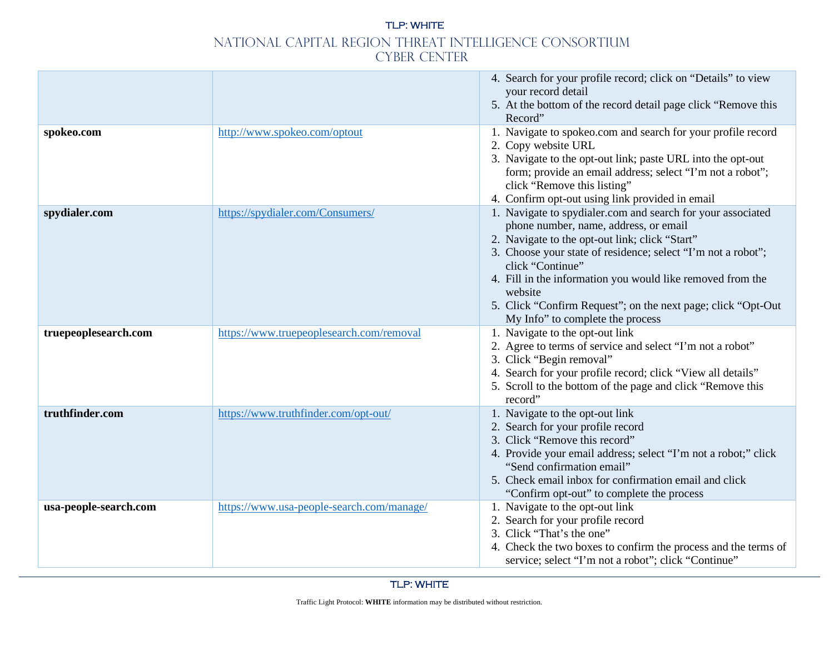|                       |                                           | 4. Search for your profile record; click on "Details" to view<br>your record detail<br>5. At the bottom of the record detail page click "Remove this<br>Record"                                                                                                                                                                                                                                                         |
|-----------------------|-------------------------------------------|-------------------------------------------------------------------------------------------------------------------------------------------------------------------------------------------------------------------------------------------------------------------------------------------------------------------------------------------------------------------------------------------------------------------------|
| spokeo.com            | http://www.spokeo.com/optout              | 1. Navigate to spokeo.com and search for your profile record<br>2. Copy website URL<br>3. Navigate to the opt-out link; paste URL into the opt-out<br>form; provide an email address; select "I'm not a robot";<br>click "Remove this listing"<br>4. Confirm opt-out using link provided in email                                                                                                                       |
| spydialer.com         | https://spydialer.com/Consumers/          | 1. Navigate to spydialer.com and search for your associated<br>phone number, name, address, or email<br>2. Navigate to the opt-out link; click "Start"<br>3. Choose your state of residence; select "I'm not a robot";<br>click "Continue"<br>4. Fill in the information you would like removed from the<br>website<br>5. Click "Confirm Request"; on the next page; click "Opt-Out<br>My Info" to complete the process |
| truepeoplesearch.com  | https://www.truepeoplesearch.com/removal  | 1. Navigate to the opt-out link<br>2. Agree to terms of service and select "I'm not a robot"<br>3. Click "Begin removal"<br>4. Search for your profile record; click "View all details"<br>5. Scroll to the bottom of the page and click "Remove this<br>record"                                                                                                                                                        |
| truthfinder.com       | https://www.truthfinder.com/opt-out/      | 1. Navigate to the opt-out link<br>2. Search for your profile record<br>3. Click "Remove this record"<br>4. Provide your email address; select "I'm not a robot;" click<br>"Send confirmation email"<br>5. Check email inbox for confirmation email and click<br>"Confirm opt-out" to complete the process                                                                                                              |
| usa-people-search.com | https://www.usa-people-search.com/manage/ | 1. Navigate to the opt-out link<br>2. Search for your profile record<br>3. Click "That's the one"<br>4. Check the two boxes to confirm the process and the terms of<br>service; select "I'm not a robot"; click "Continue"                                                                                                                                                                                              |